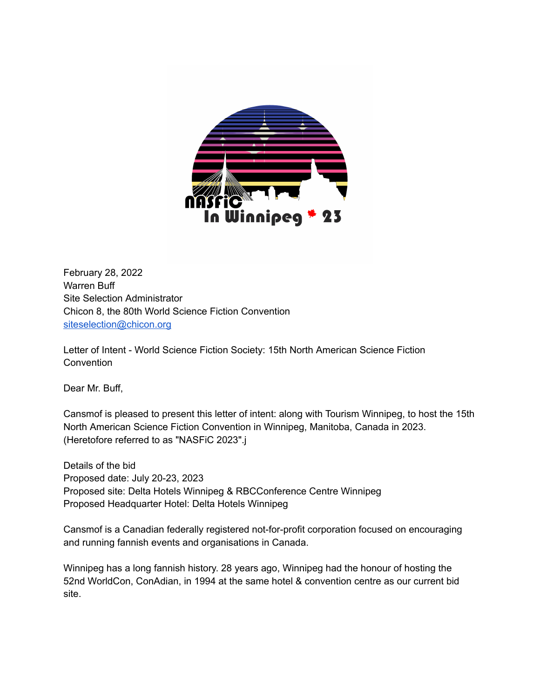

February 28, 2022 Warren Buff Site Selection Administrator Chicon 8, the 80th World Science Fiction Convention [siteselection@chicon.org](mailto:siteselection@discon3.org)

Letter of Intent - World Science Fiction Society: 15th North American Science Fiction **Convention** 

Dear Mr. Buff,

Cansmof is pleased to present this letter of intent: along with Tourism Winnipeg, to host the 15th North American Science Fiction Convention in Winnipeg, Manitoba, Canada in 2023. (Heretofore referred to as "NASFiC 2023".j

Details of the bid Proposed date: July 20-23, 2023 Proposed site: Delta Hotels Winnipeg & RBCConference Centre Winnipeg Proposed Headquarter Hotel: Delta Hotels Winnipeg

Cansmof is a Canadian federally registered not-for-profit corporation focused on encouraging and running fannish events and organisations in Canada.

Winnipeg has a long fannish history. 28 years ago, Winnipeg had the honour of hosting the 52nd WorldCon, ConAdian, in 1994 at the same hotel & convention centre as our current bid site.